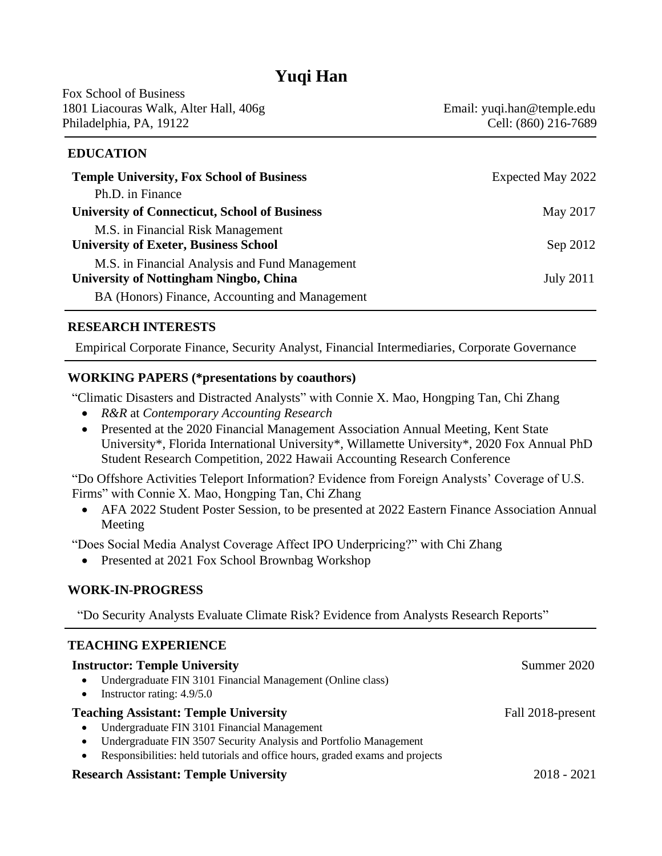# **Yuqi Han**

Fox School of Business 1801 Liacouras Walk, Alter Hall, 406g Email: yuqi.han@temple.edu Philadelphia, PA, 19122 Cell: (860) 216-7689

# **EDUCATION**

| <b>Temple University, Fox School of Business</b>                                                | Expected May 2022 |
|-------------------------------------------------------------------------------------------------|-------------------|
| Ph.D. in Finance                                                                                |                   |
| <b>University of Connecticut, School of Business</b>                                            | May 2017          |
| M.S. in Financial Risk Management<br><b>University of Exeter, Business School</b>               | Sep 2012          |
| M.S. in Financial Analysis and Fund Management<br><b>University of Nottingham Ningbo, China</b> | July 2011         |
| BA (Honors) Finance, Accounting and Management                                                  |                   |

## **RESEARCH INTERESTS**

Empirical Corporate Finance, Security Analyst, Financial Intermediaries, Corporate Governance

## **WORKING PAPERS (\*presentations by coauthors)**

"Climatic Disasters and Distracted Analysts" with Connie X. Mao, Hongping Tan, Chi Zhang

- *R&R* at *Contemporary Accounting Research*
- Presented at the 2020 Financial Management Association Annual Meeting, Kent State University\*, Florida International University\*, Willamette University\*, 2020 Fox Annual PhD Student Research Competition, 2022 Hawaii Accounting Research Conference

"Do Offshore Activities Teleport Information? Evidence from Foreign Analysts' Coverage of U.S. Firms" with Connie X. Mao, Hongping Tan, Chi Zhang

• AFA 2022 Student Poster Session, to be presented at 2022 Eastern Finance Association Annual Meeting

"Does Social Media Analyst Coverage Affect IPO Underpricing?" with Chi Zhang

• Presented at 2021 Fox School Brownbag Workshop

## **WORK-IN-PROGRESS**

"Do Security Analysts Evaluate Climate Risk? Evidence from Analysts Research Reports"

## **TEACHING EXPERIENCE**

| <b>Instructor: Temple University</b>                                                      | Summer 2020       |
|-------------------------------------------------------------------------------------------|-------------------|
| Undergraduate FIN 3101 Financial Management (Online class)<br>$\bullet$                   |                   |
| Instructor rating: 4.9/5.0<br>$\bullet$                                                   |                   |
| <b>Teaching Assistant: Temple University</b>                                              | Fall 2018-present |
| Undergraduate FIN 3101 Financial Management<br>$\bullet$                                  |                   |
| Undergraduate FIN 3507 Security Analysis and Portfolio Management                         |                   |
| Responsibilities: held tutorials and office hours, graded exams and projects<br>$\bullet$ |                   |
| <b>Research Assistant: Temple University</b>                                              | 2018 - 2021       |